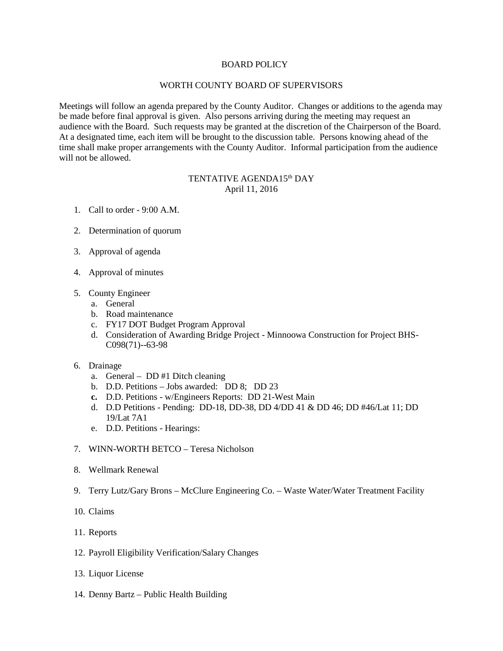## BOARD POLICY

## WORTH COUNTY BOARD OF SUPERVISORS

Meetings will follow an agenda prepared by the County Auditor. Changes or additions to the agenda may be made before final approval is given. Also persons arriving during the meeting may request an audience with the Board. Such requests may be granted at the discretion of the Chairperson of the Board. At a designated time, each item will be brought to the discussion table. Persons knowing ahead of the time shall make proper arrangements with the County Auditor. Informal participation from the audience will not be allowed.

## TENTATIVE AGENDA15<sup>th</sup> DAY April 11, 2016

- 1. Call to order 9:00 A.M.
- 2. Determination of quorum
- 3. Approval of agenda
- 4. Approval of minutes
- 5. County Engineer
	- a. General
	- b. Road maintenance
	- c. FY17 DOT Budget Program Approval
	- d. Consideration of Awarding Bridge Project Minnoowa Construction for Project BHS-C098(71)--63-98
- 6. Drainage
	- a. General DD #1 Ditch cleaning
	- b. D.D. Petitions Jobs awarded: DD 8; DD 23
	- **c.** D.D. Petitions w/Engineers Reports: DD 21-West Main
	- d. D.D Petitions Pending: DD-18, DD-38, DD 4/DD 41 & DD 46; DD #46/Lat 11; DD 19/Lat 7A1
	- e. D.D. Petitions Hearings:
- 7. WINN-WORTH BETCO Teresa Nicholson
- 8. Wellmark Renewal
- 9. Terry Lutz/Gary Brons McClure Engineering Co. Waste Water/Water Treatment Facility
- 10. Claims
- 11. Reports
- 12. Payroll Eligibility Verification/Salary Changes
- 13. Liquor License
- 14. Denny Bartz Public Health Building